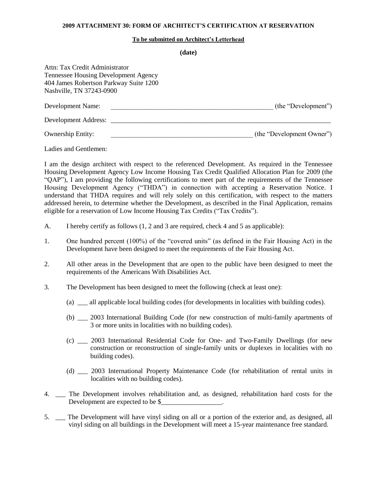## **2009 ATTACHMENT 30: FORM OF ARCHITECT'S CERTIFICATION AT RESERVATION**

## **To be submitted on Architect's Letterhead**

**(date)**

| Attn: Tax Credit Administrator<br><b>Tennessee Housing Development Agency</b><br>404 James Robertson Parkway Suite 1200<br>Nashville, TN 37243-0900 |                           |
|-----------------------------------------------------------------------------------------------------------------------------------------------------|---------------------------|
| Development Name:                                                                                                                                   | (the "Development")       |
| Development Address:                                                                                                                                |                           |
| <b>Ownership Entity:</b>                                                                                                                            | (the "Development Owner") |

Ladies and Gentlemen:

I am the design architect with respect to the referenced Development. As required in the Tennessee Housing Development Agency Low Income Housing Tax Credit Qualified Allocation Plan for 2009 (the "QAP"), I am providing the following certifications to meet part of the requirements of the Tennessee Housing Development Agency ("THDA") in connection with accepting a Reservation Notice. I understand that THDA requires and will rely solely on this certification, with respect to the matters addressed herein, to determine whether the Development, as described in the Final Application, remains eligible for a reservation of Low Income Housing Tax Credits ("Tax Credits").

- A. I hereby certify as follows (1, 2 and 3 are required, check 4 and 5 as applicable):
- 1. One hundred percent (100%) of the "covered units" (as defined in the Fair Housing Act) in the Development have been designed to meet the requirements of the Fair Housing Act.
- 2. All other areas in the Development that are open to the public have been designed to meet the requirements of the Americans With Disabilities Act.
- 3. The Development has been designed to meet the following (check at least one):
	- (a) \_\_\_ all applicable local building codes (for developments in localities with building codes).
	- (b) \_\_\_ 2003 International Building Code (for new construction of multi-family apartments of 3 or more units in localities with no building codes).
	- (c) \_\_\_ 2003 International Residential Code for One- and Two-Family Dwellings (for new construction or reconstruction of single-family units or duplexes in localities with no building codes).
	- (d) \_\_\_ 2003 International Property Maintenance Code (for rehabilitation of rental units in localities with no building codes).
- 4. \_\_\_ The Development involves rehabilitation and, as designed, rehabilitation hard costs for the Development are expected to be \$
- 5. \_\_\_ The Development will have vinyl siding on all or a portion of the exterior and, as designed, all vinyl siding on all buildings in the Development will meet a 15-year maintenance free standard.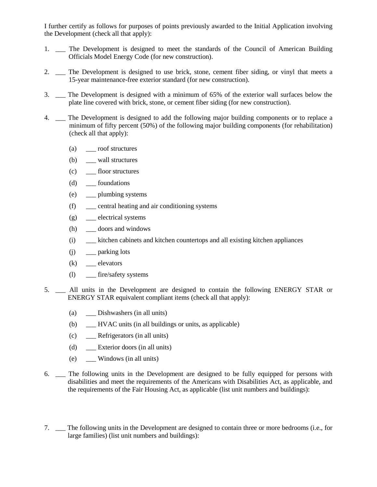I further certify as follows for purposes of points previously awarded to the Initial Application involving the Development (check all that apply):

- 1. \_\_ The Development is designed to meet the standards of the Council of American Building Officials Model Energy Code (for new construction).
- 2. The Development is designed to use brick, stone, cement fiber siding, or vinyl that meets a 15-year maintenance-free exterior standard (for new construction).
- 3. \_\_\_ The Development is designed with a minimum of 65% of the exterior wall surfaces below the plate line covered with brick, stone, or cement fiber siding (for new construction).
- 4. \_\_\_ The Development is designed to add the following major building components or to replace a minimum of fifty percent (50%) of the following major building components (for rehabilitation) (check all that apply):
	- (a) \_\_\_ roof structures
	- (b) \_\_\_\_ wall structures
	- (c) \_\_\_ floor structures
	- (d) \_\_\_ foundations
	- (e) \_\_\_ plumbing systems
	- (f) \_\_\_ central heating and air conditioning systems
	- (g) \_\_\_ electrical systems
	- (h) \_\_\_ doors and windows
	- (i) \_\_\_ kitchen cabinets and kitchen countertops and all existing kitchen appliances
	- $(j)$  \_\_\_ parking lots
	- $(k)$  \_\_\_ elevators
	- (l) \_\_\_ fire/safety systems
- 5. \_\_\_ All units in the Development are designed to contain the following ENERGY STAR or ENERGY STAR equivalent compliant items (check all that apply):
	- (a) \_\_\_ Dishwashers (in all units)
	- (b) \_\_\_ HVAC units (in all buildings or units, as applicable)
	- (c) \_\_\_ Refrigerators (in all units)
	- (d) \_\_\_ Exterior doors (in all units)
	- (e) \_\_\_ Windows (in all units)
- 6. \_\_\_ The following units in the Development are designed to be fully equipped for persons with disabilities and meet the requirements of the Americans with Disabilities Act, as applicable, and the requirements of the Fair Housing Act, as applicable (list unit numbers and buildings):
- 7. \_\_\_ The following units in the Development are designed to contain three or more bedrooms (i.e., for large families) (list unit numbers and buildings):